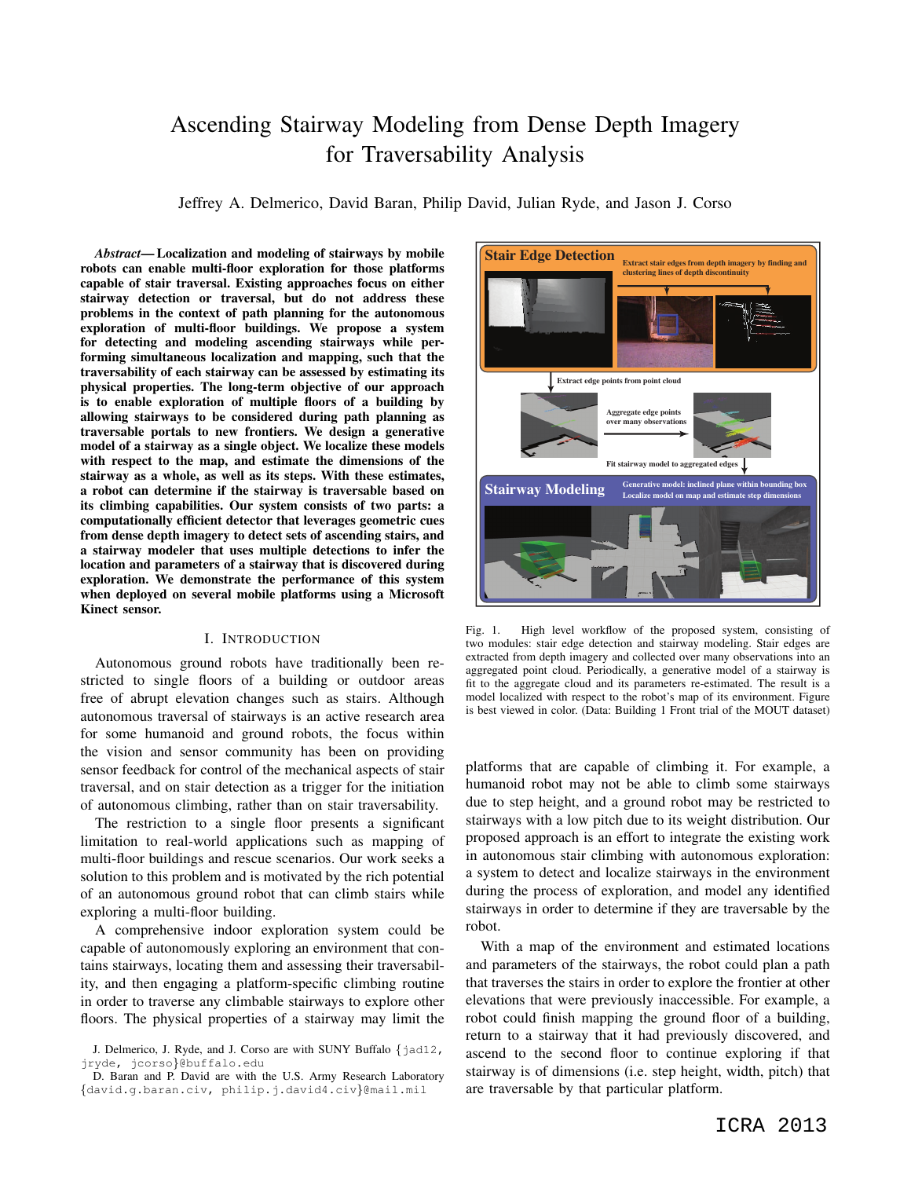# Ascending Stairway Modeling from Dense Depth Imagery for Traversability Analysis

Jeffrey A. Delmerico, David Baran, Philip David, Julian Ryde, and Jason J. Corso

*Abstract*— Localization and modeling of stairways by mobile robots can enable multi-floor exploration for those platforms capable of stair traversal. Existing approaches focus on either stairway detection or traversal, but do not address these problems in the context of path planning for the autonomous exploration of multi-floor buildings. We propose a system for detecting and modeling ascending stairways while performing simultaneous localization and mapping, such that the traversability of each stairway can be assessed by estimating its physical properties. The long-term objective of our approach is to enable exploration of multiple floors of a building by allowing stairways to be considered during path planning as traversable portals to new frontiers. We design a generative model of a stairway as a single object. We localize these models with respect to the map, and estimate the dimensions of the stairway as a whole, as well as its steps. With these estimates, a robot can determine if the stairway is traversable based on its climbing capabilities. Our system consists of two parts: a computationally efficient detector that leverages geometric cues from dense depth imagery to detect sets of ascending stairs, and a stairway modeler that uses multiple detections to infer the location and parameters of a stairway that is discovered during exploration. We demonstrate the performance of this system when deployed on several mobile platforms using a Microsoft Kinect sensor.

## I. INTRODUCTION

Autonomous ground robots have traditionally been restricted to single floors of a building or outdoor areas free of abrupt elevation changes such as stairs. Although autonomous traversal of stairways is an active research area for some humanoid and ground robots, the focus within the vision and sensor community has been on providing sensor feedback for control of the mechanical aspects of stair traversal, and on stair detection as a trigger for the initiation of autonomous climbing, rather than on stair traversability.

The restriction to a single floor presents a significant limitation to real-world applications such as mapping of multi-floor buildings and rescue scenarios. Our work seeks a solution to this problem and is motivated by the rich potential of an autonomous ground robot that can climb stairs while exploring a multi-floor building.

A comprehensive indoor exploration system could be capable of autonomously exploring an environment that contains stairways, locating them and assessing their traversability, and then engaging a platform-specific climbing routine in order to traverse any climbable stairways to explore other floors. The physical properties of a stairway may limit the



Fig. 1. High level workflow of the proposed system, consisting of two modules: stair edge detection and stairway modeling. Stair edges are extracted from depth imagery and collected over many observations into an aggregated point cloud. Periodically, a generative model of a stairway is fit to the aggregate cloud and its parameters re-estimated. The result is a model localized with respect to the robot's map of its environment. Figure is best viewed in color. (Data: Building 1 Front trial of the MOUT dataset)

<span id="page-0-0"></span>platforms that are capable of climbing it. For example, a humanoid robot may not be able to climb some stairways due to step height, and a ground robot may be restricted to stairways with a low pitch due to its weight distribution. Our proposed approach is an effort to integrate the existing work in autonomous stair climbing with autonomous exploration: a system to detect and localize stairways in the environment during the process of exploration, and model any identified stairways in order to determine if they are traversable by the robot.

With a map of the environment and estimated locations and parameters of the stairways, the robot could plan a path that traverses the stairs in order to explore the frontier at other elevations that were previously inaccessible. For example, a robot could finish mapping the ground floor of a building, return to a stairway that it had previously discovered, and ascend to the second floor to continue exploring if that stairway is of dimensions (i.e. step height, width, pitch) that are traversable by that particular platform.

J. Delmerico, J. Ryde, and J. Corso are with SUNY Buffalo {jad12, jryde, jcorso}@buffalo.edu

D. Baran and P. David are with the U.S. Army Research Laboratory {david.g.baran.civ, philip.j.david4.civ}@mail.mil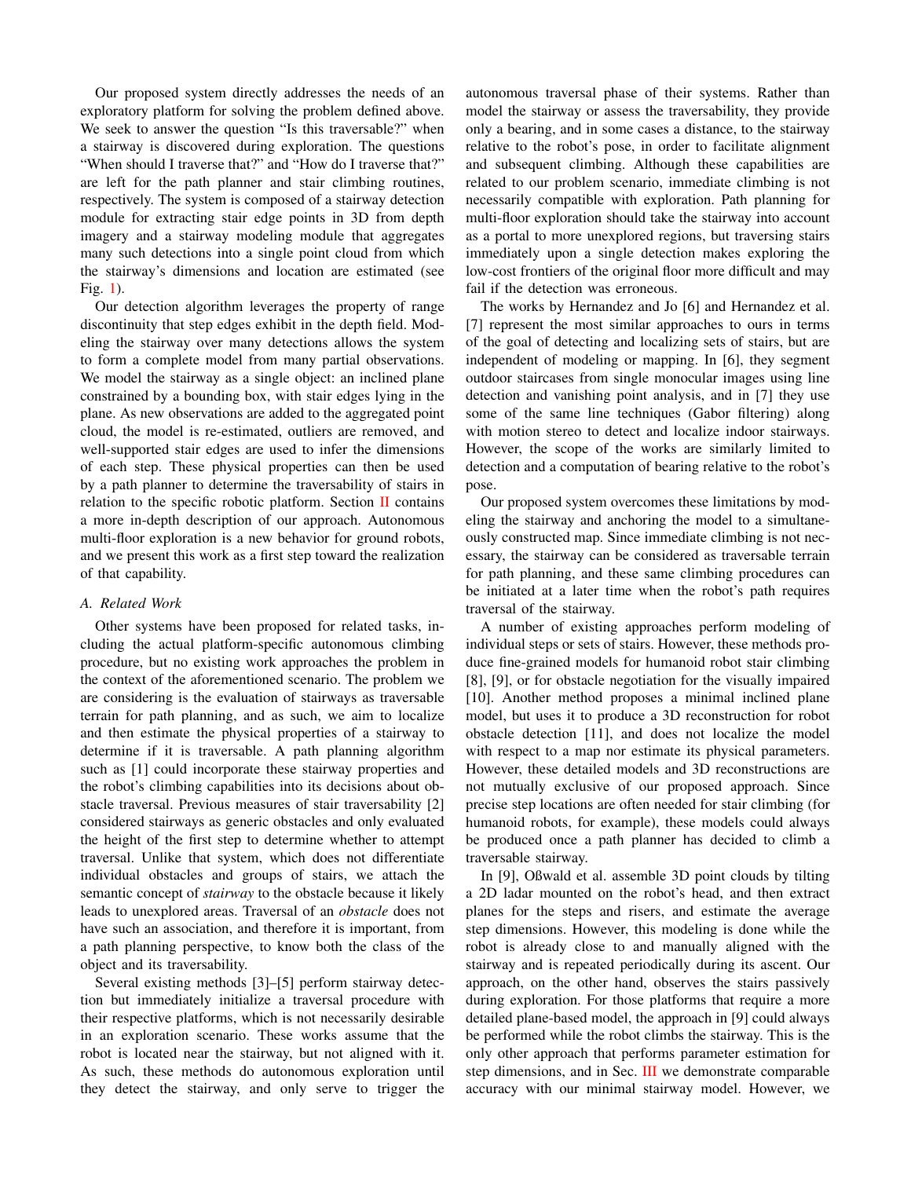<span id="page-1-0"></span>Our proposed system directly addresses the needs of an exploratory platform for solving the problem defined above. We seek to answer the question "Is this traversable?" when a stairway is discovered during exploration. The questions "When should I traverse that?" and "How do I traverse that?" are left for the path planner and stair climbing routines, respectively. The system is composed of a stairway detection module for extracting stair edge points in 3D from depth imagery and a stairway modeling module that aggregates many such detections into a single point cloud from which the stairway's dimensions and location are estimated (see Fig. [1\)](#page-0-0).

Our detection algorithm leverages the property of range discontinuity that step edges exhibit in the depth field. Modeling the stairway over many detections allows the system to form a complete model from many partial observations. We model the stairway as a single object: an inclined plane constrained by a bounding box, with stair edges lying in the plane. As new observations are added to the aggregated point cloud, the model is re-estimated, outliers are removed, and well-supported stair edges are used to infer the dimensions of each step. These physical properties can then be used by a path planner to determine the traversability of stairs in relation to the specific robotic platform. Section  $\Pi$  contains a more in-depth description of our approach. Autonomous multi-floor exploration is a new behavior for ground robots, and we present this work as a first step toward the realization of that capability.

## *A. Related Work*

Other systems have been proposed for related tasks, including the actual platform-specific autonomous climbing procedure, but no existing work approaches the problem in the context of the aforementioned scenario. The problem we are considering is the evaluation of stairways as traversable terrain for path planning, and as such, we aim to localize and then estimate the physical properties of a stairway to determine if it is traversable. A path planning algorithm such as [1] could incorporate these stairway properties and the robot's climbing capabilities into its decisions about obstacle traversal. Previous measures of stair traversability [2] considered stairways as generic obstacles and only evaluated the height of the first step to determine whether to attempt traversal. Unlike that system, which does not differentiate individual obstacles and groups of stairs, we attach the semantic concept of *stairway* to the obstacle because it likely leads to unexplored areas. Traversal of an *obstacle* does not have such an association, and therefore it is important, from a path planning perspective, to know both the class of the object and its traversability.

Several existing methods [3]–[5] perform stairway detection but immediately initialize a traversal procedure with their respective platforms, which is not necessarily desirable in an exploration scenario. These works assume that the robot is located near the stairway, but not aligned with it. As such, these methods do autonomous exploration until they detect the stairway, and only serve to trigger the

autonomous traversal phase of their systems. Rather than model the stairway or assess the traversability, they provide only a bearing, and in some cases a distance, to the stairway relative to the robot's pose, in order to facilitate alignment and subsequent climbing. Although these capabilities are related to our problem scenario, immediate climbing is not necessarily compatible with exploration. Path planning for multi-floor exploration should take the stairway into account as a portal to more unexplored regions, but traversing stairs immediately upon a single detection makes exploring the low-cost frontiers of the original floor more difficult and may fail if the detection was erroneous.

The works by Hernandez and Jo [6] and Hernandez et al. [7] represent the most similar approaches to ours in terms of the goal of detecting and localizing sets of stairs, but are independent of modeling or mapping. In [6], they segment outdoor staircases from single monocular images using line detection and vanishing point analysis, and in [7] they use some of the same line techniques (Gabor filtering) along with motion stereo to detect and localize indoor stairways. However, the scope of the works are similarly limited to detection and a computation of bearing relative to the robot's pose.

Our proposed system overcomes these limitations by modeling the stairway and anchoring the model to a simultaneously constructed map. Since immediate climbing is not necessary, the stairway can be considered as traversable terrain for path planning, and these same climbing procedures can be initiated at a later time when the robot's path requires traversal of the stairway.

A number of existing approaches perform modeling of individual steps or sets of stairs. However, these methods produce fine-grained models for humanoid robot stair climbing [8], [9], or for obstacle negotiation for the visually impaired [10]. Another method proposes a minimal inclined plane model, but uses it to produce a 3D reconstruction for robot obstacle detection [11], and does not localize the model with respect to a map nor estimate its physical parameters. However, these detailed models and 3D reconstructions are not mutually exclusive of our proposed approach. Since precise step locations are often needed for stair climbing (for humanoid robots, for example), these models could always be produced once a path planner has decided to climb a traversable stairway.

In [9], Oßwald et al. assemble 3D point clouds by tilting a 2D ladar mounted on the robot's head, and then extract planes for the steps and risers, and estimate the average step dimensions. However, this modeling is done while the robot is already close to and manually aligned with the stairway and is repeated periodically during its ascent. Our approach, on the other hand, observes the stairs passively during exploration. For those platforms that require a more detailed plane-based model, the approach in [9] could always be performed while the robot climbs the stairway. This is the only other approach that performs parameter estimation for step dimensions, and in Sec. [III](#page-4-0) we demonstrate comparable accuracy with our minimal stairway model. However, we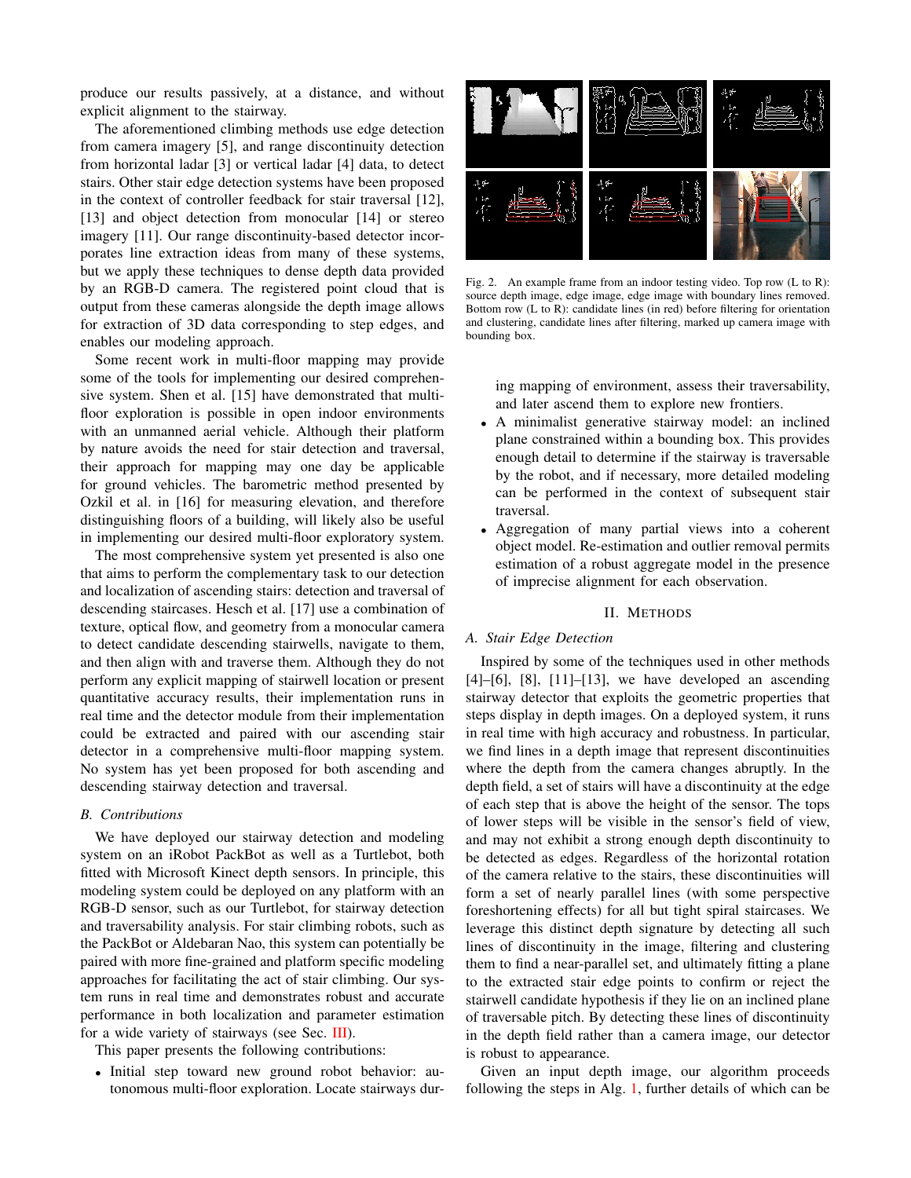<span id="page-2-2"></span>produce our results passively, at a distance, and without explicit alignment to the stairway.

The aforementioned climbing methods use edge detection from camera imagery [5], and range discontinuity detection from horizontal ladar [3] or vertical ladar [4] data, to detect stairs. Other stair edge detection systems have been proposed in the context of controller feedback for stair traversal [12], [13] and object detection from monocular [14] or stereo imagery [11]. Our range discontinuity-based detector incorporates line extraction ideas from many of these systems, but we apply these techniques to dense depth data provided by an RGB-D camera. The registered point cloud that is output from these cameras alongside the depth image allows for extraction of 3D data corresponding to step edges, and enables our modeling approach.

Some recent work in multi-floor mapping may provide some of the tools for implementing our desired comprehensive system. Shen et al. [15] have demonstrated that multifloor exploration is possible in open indoor environments with an unmanned aerial vehicle. Although their platform by nature avoids the need for stair detection and traversal, their approach for mapping may one day be applicable for ground vehicles. The barometric method presented by Ozkil et al. in [16] for measuring elevation, and therefore distinguishing floors of a building, will likely also be useful in implementing our desired multi-floor exploratory system.

The most comprehensive system yet presented is also one that aims to perform the complementary task to our detection and localization of ascending stairs: detection and traversal of descending staircases. Hesch et al. [17] use a combination of texture, optical flow, and geometry from a monocular camera to detect candidate descending stairwells, navigate to them, and then align with and traverse them. Although they do not perform any explicit mapping of stairwell location or present quantitative accuracy results, their implementation runs in real time and the detector module from their implementation could be extracted and paired with our ascending stair detector in a comprehensive multi-floor mapping system. No system has yet been proposed for both ascending and descending stairway detection and traversal.

## *B. Contributions*

We have deployed our stairway detection and modeling system on an iRobot PackBot as well as a Turtlebot, both fitted with Microsoft Kinect depth sensors. In principle, this modeling system could be deployed on any platform with an RGB-D sensor, such as our Turtlebot, for stairway detection and traversability analysis. For stair climbing robots, such as the PackBot or Aldebaran Nao, this system can potentially be paired with more fine-grained and platform specific modeling approaches for facilitating the act of stair climbing. Our system runs in real time and demonstrates robust and accurate performance in both localization and parameter estimation for a wide variety of stairways (see Sec. [III\)](#page-4-0).

This paper presents the following contributions:

• Initial step toward new ground robot behavior: autonomous multi-floor exploration. Locate stairways dur-



<span id="page-2-1"></span>Fig. 2. An example frame from an indoor testing video. Top row (L to R): source depth image, edge image, edge image with boundary lines removed. Bottom row (L to R): candidate lines (in red) before filtering for orientation and clustering, candidate lines after filtering, marked up camera image with bounding box.

ing mapping of environment, assess their traversability, and later ascend them to explore new frontiers.

- A minimalist generative stairway model: an inclined plane constrained within a bounding box. This provides enough detail to determine if the stairway is traversable by the robot, and if necessary, more detailed modeling can be performed in the context of subsequent stair traversal.
- Aggregation of many partial views into a coherent object model. Re-estimation and outlier removal permits estimation of a robust aggregate model in the presence of imprecise alignment for each observation.

# II. METHODS

# <span id="page-2-0"></span>*A. Stair Edge Detection*

Inspired by some of the techniques used in other methods  $[4]-[6]$ ,  $[8]$ ,  $[11]-[13]$ , we have developed an ascending stairway detector that exploits the geometric properties that steps display in depth images. On a deployed system, it runs in real time with high accuracy and robustness. In particular, we find lines in a depth image that represent discontinuities where the depth from the camera changes abruptly. In the depth field, a set of stairs will have a discontinuity at the edge of each step that is above the height of the sensor. The tops of lower steps will be visible in the sensor's field of view, and may not exhibit a strong enough depth discontinuity to be detected as edges. Regardless of the horizontal rotation of the camera relative to the stairs, these discontinuities will form a set of nearly parallel lines (with some perspective foreshortening effects) for all but tight spiral staircases. We leverage this distinct depth signature by detecting all such lines of discontinuity in the image, filtering and clustering them to find a near-parallel set, and ultimately fitting a plane to the extracted stair edge points to confirm or reject the stairwell candidate hypothesis if they lie on an inclined plane of traversable pitch. By detecting these lines of discontinuity in the depth field rather than a camera image, our detector is robust to appearance.

Given an input depth image, our algorithm proceeds following the steps in Alg. [1,](#page-3-0) further details of which can be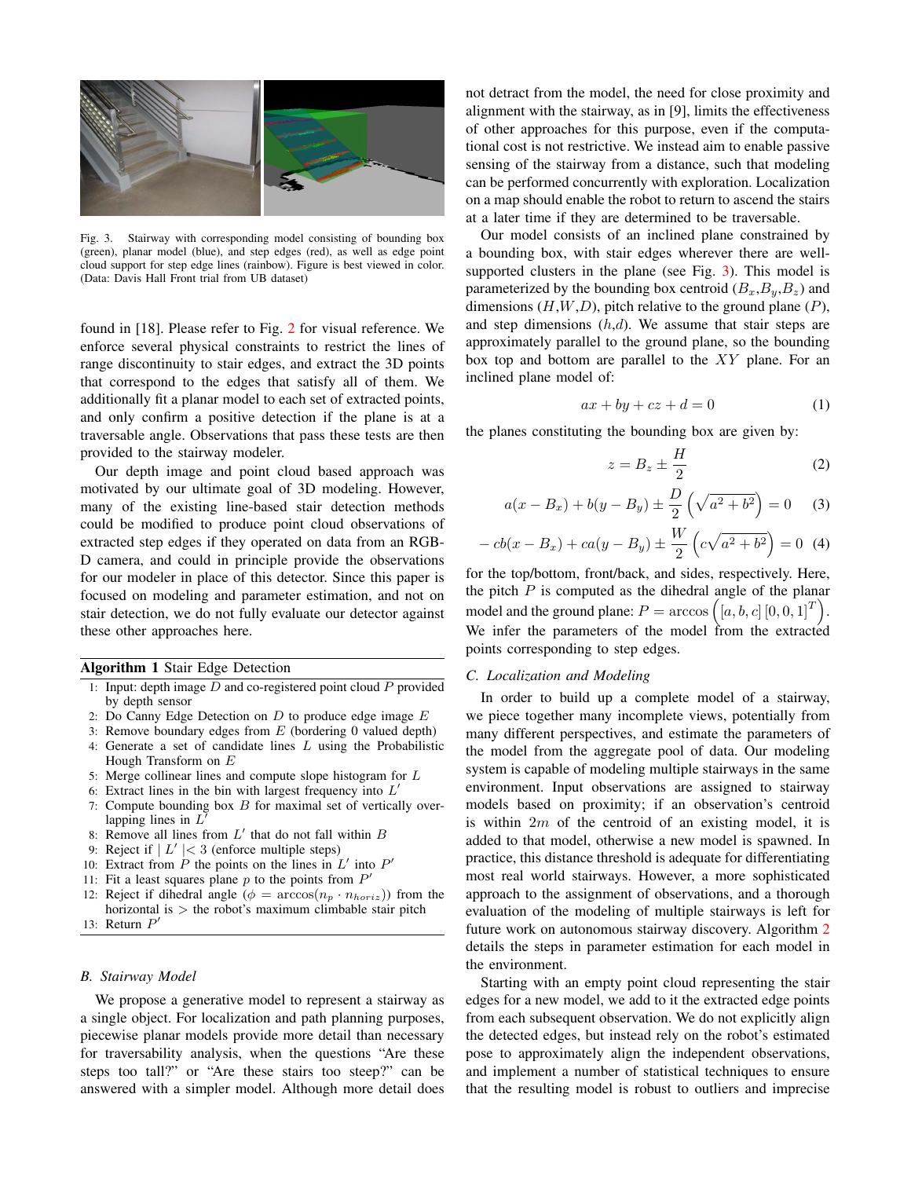<span id="page-3-2"></span>

<span id="page-3-1"></span>Fig. 3. Stairway with corresponding model consisting of bounding box (green), planar model (blue), and step edges (red), as well as edge point cloud support for step edge lines (rainbow). Figure is best viewed in color. (Data: Davis Hall Front trial from UB dataset)

found in [18]. Please refer to Fig. [2](#page-2-1) for visual reference. We enforce several physical constraints to restrict the lines of range discontinuity to stair edges, and extract the 3D points that correspond to the edges that satisfy all of them. We additionally fit a planar model to each set of extracted points, and only confirm a positive detection if the plane is at a traversable angle. Observations that pass these tests are then provided to the stairway modeler.

Our depth image and point cloud based approach was motivated by our ultimate goal of 3D modeling. However, many of the existing line-based stair detection methods could be modified to produce point cloud observations of extracted step edges if they operated on data from an RGB-D camera, and could in principle provide the observations for our modeler in place of this detector. Since this paper is focused on modeling and parameter estimation, and not on stair detection, we do not fully evaluate our detector against these other approaches here.

# <span id="page-3-0"></span>Algorithm 1 Stair Edge Detection

- 1: Input: depth image  $D$  and co-registered point cloud  $P$  provided by depth sensor
- 2: Do Canny Edge Detection on  $D$  to produce edge image  $E$
- 3: Remove boundary edges from  $E$  (bordering 0 valued depth) 4: Generate a set of candidate lines  $L$  using the Probabilistic
- Hough Transform on  $E$ 5: Merge collinear lines and compute slope histogram for L
- 6: Extract lines in the bin with largest frequency into  $L'$
- 7: Compute bounding box B for maximal set of vertically over-
- lapping lines in  $L^7$
- 8: Remove all lines from  $L'$  that do not fall within  $B$
- 9: Reject if  $|L'| < 3$  (enforce multiple steps)
- 10: Extract from  $P$  the points on the lines in  $L'$  into  $P'$
- 11: Fit a least squares plane  $p$  to the points from  $P'$
- 12: Reject if dihedral angle ( $\phi = \arccos(n_p \cdot n_{horiz})$ ) from the horizontal is  $>$  the robot's maximum climbable stair pitch

# 13: Return  $P'$

#### *B. Stairway Model*

We propose a generative model to represent a stairway as a single object. For localization and path planning purposes, piecewise planar models provide more detail than necessary for traversability analysis, when the questions "Are these steps too tall?" or "Are these stairs too steep?" can be answered with a simpler model. Although more detail does

not detract from the model, the need for close proximity and alignment with the stairway, as in [9], limits the effectiveness of other approaches for this purpose, even if the computational cost is not restrictive. We instead aim to enable passive sensing of the stairway from a distance, such that modeling can be performed concurrently with exploration. Localization on a map should enable the robot to return to ascend the stairs at a later time if they are determined to be traversable.

Our model consists of an inclined plane constrained by a bounding box, with stair edges wherever there are well-supported clusters in the plane (see Fig. [3\)](#page-3-1). This model is parameterized by the bounding box centroid  $(B_x, B_y, B_z)$  and dimensions  $(H, W, D)$ , pitch relative to the ground plane  $(P)$ , and step dimensions  $(h,d)$ . We assume that stair steps are approximately parallel to the ground plane, so the bounding box top and bottom are parallel to the  $XY$  plane. For an inclined plane model of:

$$
ax + by + cz + d = 0 \tag{1}
$$

the planes constituting the bounding box are given by:

$$
z = B_z \pm \frac{H}{2} \tag{2}
$$

$$
a(x - B_x) + b(y - B_y) \pm \frac{D}{2} \left( \sqrt{a^2 + b^2} \right) = 0 \quad (3)
$$

$$
-cb(x - B_x) + ca(y - B_y) \pm \frac{W}{2} \left( c\sqrt{a^2 + b^2} \right) = 0 \tag{4}
$$

for the top/bottom, front/back, and sides, respectively. Here, the pitch  $P$  is computed as the dihedral angle of the planar model and the ground plane:  $P = \arccos\left(\left[a, b, c\right] \left[0, 0, 1\right]^T\right)$ . We infer the parameters of the model from the extracted points corresponding to step edges.

#### *C. Localization and Modeling*

In order to build up a complete model of a stairway, we piece together many incomplete views, potentially from many different perspectives, and estimate the parameters of the model from the aggregate pool of data. Our modeling system is capable of modeling multiple stairways in the same environment. Input observations are assigned to stairway models based on proximity; if an observation's centroid is within  $2m$  of the centroid of an existing model, it is added to that model, otherwise a new model is spawned. In practice, this distance threshold is adequate for differentiating most real world stairways. However, a more sophisticated approach to the assignment of observations, and a thorough evaluation of the modeling of multiple stairways is left for future work on autonomous stairway discovery. Algorithm [2](#page-4-1) details the steps in parameter estimation for each model in the environment.

Starting with an empty point cloud representing the stair edges for a new model, we add to it the extracted edge points from each subsequent observation. We do not explicitly align the detected edges, but instead rely on the robot's estimated pose to approximately align the independent observations, and implement a number of statistical techniques to ensure that the resulting model is robust to outliers and imprecise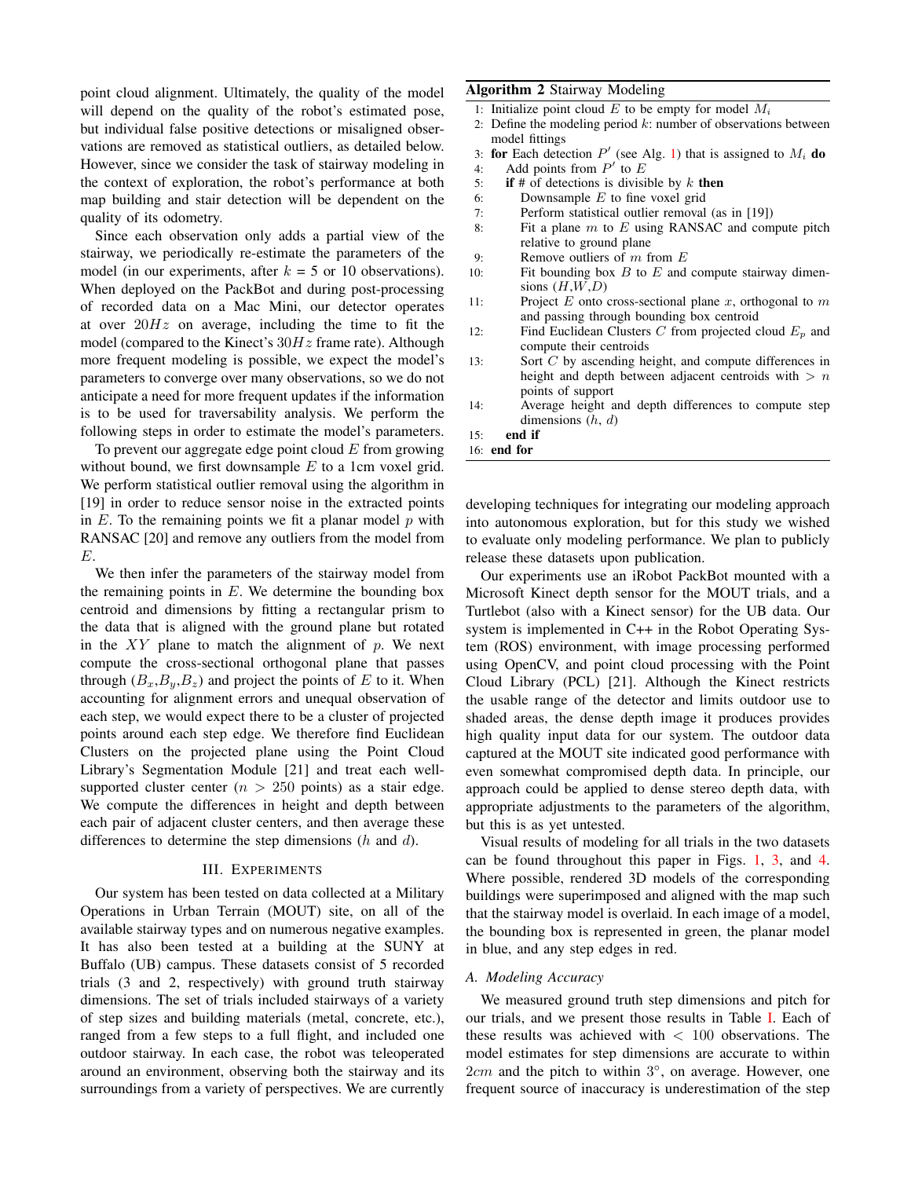<span id="page-4-2"></span>point cloud alignment. Ultimately, the quality of the model will depend on the quality of the robot's estimated pose, but individual false positive detections or misaligned observations are removed as statistical outliers, as detailed below. However, since we consider the task of stairway modeling in the context of exploration, the robot's performance at both map building and stair detection will be dependent on the quality of its odometry.

Since each observation only adds a partial view of the stairway, we periodically re-estimate the parameters of the model (in our experiments, after  $k = 5$  or 10 observations). When deployed on the PackBot and during post-processing of recorded data on a Mac Mini, our detector operates at over  $20Hz$  on average, including the time to fit the model (compared to the Kinect's  $30Hz$  frame rate). Although more frequent modeling is possible, we expect the model's parameters to converge over many observations, so we do not anticipate a need for more frequent updates if the information is to be used for traversability analysis. We perform the following steps in order to estimate the model's parameters.

To prevent our aggregate edge point cloud  $E$  from growing without bound, we first downsample  $E$  to a 1cm voxel grid. We perform statistical outlier removal using the algorithm in [19] in order to reduce sensor noise in the extracted points in  $E$ . To the remaining points we fit a planar model  $p$  with RANSAC [20] and remove any outliers from the model from E.

We then infer the parameters of the stairway model from the remaining points in  $E$ . We determine the bounding box centroid and dimensions by fitting a rectangular prism to the data that is aligned with the ground plane but rotated in the  $XY$  plane to match the alignment of  $p$ . We next compute the cross-sectional orthogonal plane that passes through  $(B_x, B_y, B_z)$  and project the points of E to it. When accounting for alignment errors and unequal observation of each step, we would expect there to be a cluster of projected points around each step edge. We therefore find Euclidean Clusters on the projected plane using the Point Cloud Library's Segmentation Module [21] and treat each wellsupported cluster center  $(n > 250 \text{ points})$  as a stair edge. We compute the differences in height and depth between each pair of adjacent cluster centers, and then average these differences to determine the step dimensions  $(h \text{ and } d)$ .

## III. EXPERIMENTS

<span id="page-4-0"></span>Our system has been tested on data collected at a Military Operations in Urban Terrain (MOUT) site, on all of the available stairway types and on numerous negative examples. It has also been tested at a building at the SUNY at Buffalo (UB) campus. These datasets consist of 5 recorded trials (3 and 2, respectively) with ground truth stairway dimensions. The set of trials included stairways of a variety of step sizes and building materials (metal, concrete, etc.), ranged from a few steps to a full flight, and included one outdoor stairway. In each case, the robot was teleoperated around an environment, observing both the stairway and its surroundings from a variety of perspectives. We are currently

#### <span id="page-4-1"></span>Algorithm 2 Stairway Modeling

| 1: Initialize point cloud E to be empty for model $M_i$     |  |
|-------------------------------------------------------------|--|
| 0. Define the modeling nemed by number of eleconstigue herr |  |

- 2: Define the modeling period  $k$ : number of observations between model fittings
- 3: for Each detection  $P'$  (see Alg. [1\)](#page-3-0) that is assigned to  $M_i$  do
- 4: Add points from  $P'$  to  $E$
- 5: if # of detections is divisible by  $k$  then
- 6: Downsample  $E$  to fine voxel grid
- 7: Perform statistical outlier removal (as in [19])
- 8: Fit a plane  $m$  to  $E$  using RANSAC and compute pitch relative to ground plane
- 9: Remove outliers of  $m$  from  $E$
- 10: Fit bounding box  $B$  to  $E$  and compute stairway dimensions  $(H,W,D)$
- 11: Project  $E$  onto cross-sectional plane  $x$ , orthogonal to  $m$ and passing through bounding box centroid
- 12: Find Euclidean Clusters C from projected cloud  $E_p$  and compute their centroids
- 13: Sort C by ascending height, and compute differences in height and depth between adjacent centroids with  $\geq n$ points of support
- 14: Average height and depth differences to compute step dimensions  $(h, d)$
- 15: end if
- 16: end for

developing techniques for integrating our modeling approach into autonomous exploration, but for this study we wished to evaluate only modeling performance. We plan to publicly release these datasets upon publication.

Our experiments use an iRobot PackBot mounted with a Microsoft Kinect depth sensor for the MOUT trials, and a Turtlebot (also with a Kinect sensor) for the UB data. Our system is implemented in C++ in the Robot Operating System (ROS) environment, with image processing performed using OpenCV, and point cloud processing with the Point Cloud Library (PCL) [21]. Although the Kinect restricts the usable range of the detector and limits outdoor use to shaded areas, the dense depth image it produces provides high quality input data for our system. The outdoor data captured at the MOUT site indicated good performance with even somewhat compromised depth data. In principle, our approach could be applied to dense stereo depth data, with appropriate adjustments to the parameters of the algorithm, but this is as yet untested.

Visual results of modeling for all trials in the two datasets can be found throughout this paper in Figs. [1,](#page-0-0) [3,](#page-3-1) and [4.](#page-5-0) Where possible, rendered 3D models of the corresponding buildings were superimposed and aligned with the map such that the stairway model is overlaid. In each image of a model, the bounding box is represented in green, the planar model in blue, and any step edges in red.

## *A. Modeling Accuracy*

We measured ground truth step dimensions and pitch for our trials, and we present those results in Table [I.](#page-6-0) Each of these results was achieved with  $< 100$  observations. The model estimates for step dimensions are accurate to within  $2cm$  and the pitch to within  $3^\circ$ , on average. However, one frequent source of inaccuracy is underestimation of the step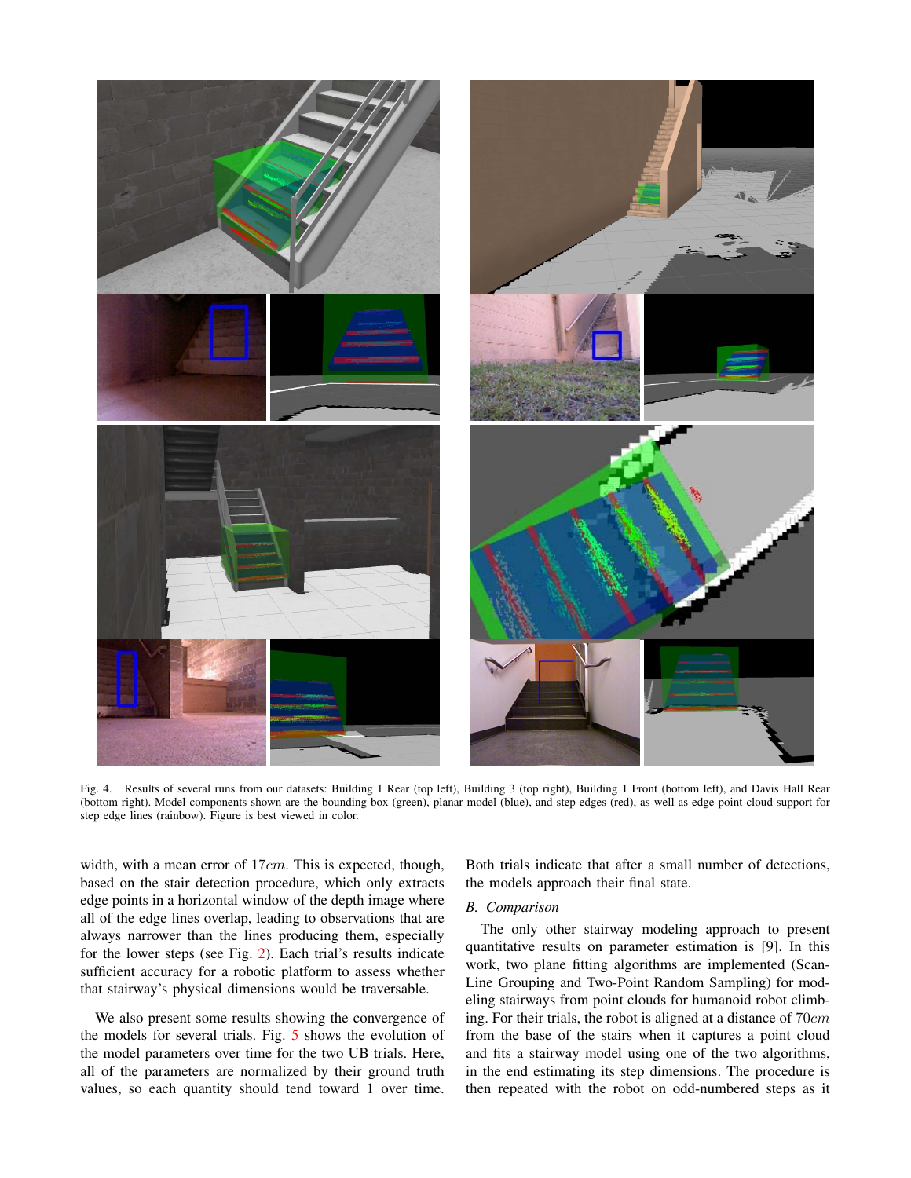<span id="page-5-1"></span>

Fig. 4. Results of several runs from our datasets: Building 1 Rear (top left), Building 3 (top right), Building 1 Front (bottom left), and Davis Hall Rear (bottom right). Model components shown are the bounding box (green), planar model (blue), and step edges (red), as well as edge point cloud support for step edge lines (rainbow). Figure is best viewed in color.

<span id="page-5-0"></span>width, with a mean error of 17cm. This is expected, though, based on the stair detection procedure, which only extracts edge points in a horizontal window of the depth image where all of the edge lines overlap, leading to observations that are always narrower than the lines producing them, especially for the lower steps (see Fig. [2\)](#page-2-1). Each trial's results indicate sufficient accuracy for a robotic platform to assess whether that stairway's physical dimensions would be traversable.

We also present some results showing the convergence of the models for several trials. Fig. [5](#page-6-1) shows the evolution of the model parameters over time for the two UB trials. Here, all of the parameters are normalized by their ground truth values, so each quantity should tend toward 1 over time.

Both trials indicate that after a small number of detections, the models approach their final state.

# *B. Comparison*

The only other stairway modeling approach to present quantitative results on parameter estimation is [9]. In this work, two plane fitting algorithms are implemented (Scan-Line Grouping and Two-Point Random Sampling) for modeling stairways from point clouds for humanoid robot climbing. For their trials, the robot is aligned at a distance of 70cm from the base of the stairs when it captures a point cloud and fits a stairway model using one of the two algorithms, in the end estimating its step dimensions. The procedure is then repeated with the robot on odd-numbered steps as it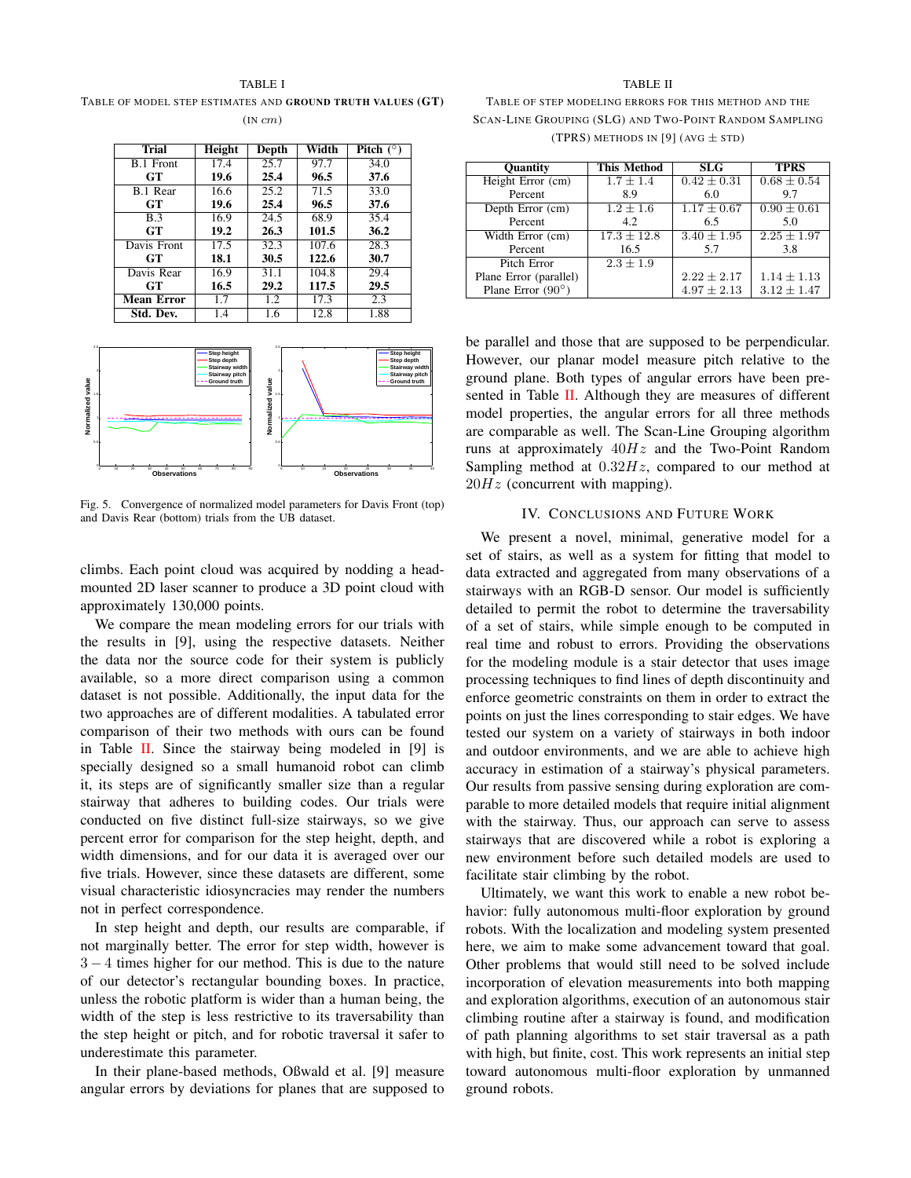#### TABLE I

<span id="page-6-3"></span><span id="page-6-0"></span>TABLE OF MODEL STEP ESTIMATES AND GROUND TRUTH VALUES (GT)  $($ IN  $cm)$ 

| <b>Trial</b>      | Height | Depth             | Width | Pitch $(°)$       |
|-------------------|--------|-------------------|-------|-------------------|
| <b>B.1 Front</b>  | 17.4   | 25.7              | 97.7  | $\overline{34.0}$ |
| <b>GT</b>         | 19.6   | 25.4              | 96.5  | 37.6              |
| B.1 Rear          | 16.6   | $\overline{25.2}$ | 71.5  | 33.0              |
| <b>GT</b>         | 19.6   | 25.4              | 96.5  | 37.6              |
| B.3               | 16.9   | 24.5              | 68.9  | 35.4              |
| $G$ T             | 19.2   | 26.3              | 101.5 | 36.2              |
| Davis Front       | 17.5   | 32.3              | 107.6 | 28.3              |
| <b>GT</b>         | 18.1   | 30.5              | 122.6 | 30.7              |
| Davis Rear        | 16.9   | 31.1              | 104.8 | 29.4              |
| <b>GT</b>         | 16.5   | 29.2              | 117.5 | 29.5              |
| <b>Mean Error</b> | 1.7    | 1.2               | 17.3  | 2.3               |
| Std. Dev.         | 1.4    | 1.6               | 12.8  | 1.88              |



<span id="page-6-1"></span>Fig. 5. Convergence of normalized model parameters for Davis Front (top) and Davis Rear (bottom) trials from the UB dataset.

climbs. Each point cloud was acquired by nodding a headmounted 2D laser scanner to produce a 3D point cloud with approximately 130,000 points.

We compare the mean modeling errors for our trials with the results in [9], using the respective datasets. Neither the data nor the source code for their system is publicly available, so a more direct comparison using a common dataset is not possible. Additionally, the input data for the two approaches are of different modalities. A tabulated error comparison of their two methods with ours can be found in Table [II.](#page-6-2) Since the stairway being modeled in [9] is specially designed so a small humanoid robot can climb it, its steps are of significantly smaller size than a regular stairway that adheres to building codes. Our trials were conducted on five distinct full-size stairways, so we give percent error for comparison for the step height, depth, and width dimensions, and for our data it is averaged over our five trials. However, since these datasets are different, some visual characteristic idiosyncracies may render the numbers not in perfect correspondence.

In step height and depth, our results are comparable, if not marginally better. The error for step width, however is 3 − 4 times higher for our method. This is due to the nature of our detector's rectangular bounding boxes. In practice, unless the robotic platform is wider than a human being, the width of the step is less restrictive to its traversability than the step height or pitch, and for robotic traversal it safer to underestimate this parameter.

In their plane-based methods, Oßwald et al. [9] measure angular errors by deviations for planes that are supposed to

#### TABLE II

<span id="page-6-2"></span>TABLE OF STEP MODELING ERRORS FOR THIS METHOD AND THE SCAN-LINE GROUPING (SLG) AND TWO-POINT RANDOM SAMPLING (TPRS) METHODS IN [9] (AVG  $\pm$  STD)

| <b>Ouantity</b>            | <b>This Method</b> | <b>SLG</b>      | <b>TPRS</b>     |
|----------------------------|--------------------|-----------------|-----------------|
| Height Error (cm)          | $1.7 \pm 1.4$      | $0.42 \pm 0.31$ | $0.68 \pm 0.54$ |
| Percent                    | 89                 | 6.0             | 9.7             |
| Depth Error (cm)           | $1.2 \pm 1.6$      | $1.17 \pm 0.67$ | $0.90 \pm 0.61$ |
| Percent                    | 4.2                | 6.5             | 5.0             |
| Width Error (cm)           | $17.3 \pm 12.8$    | $3.40 \pm 1.95$ | $2.25 \pm 1.97$ |
| Percent                    | 16.5               | 5.7             | 3.8             |
| Pitch Error                | $2.3 \pm 1.9$      |                 |                 |
| Plane Error (parallel)     |                    | $2.22 \pm 2.17$ | $1.14 \pm 1.13$ |
| Plane Error $(90^{\circ})$ |                    | $4.97 \pm 2.13$ | $3.12 \pm 1.47$ |

be parallel and those that are supposed to be perpendicular. However, our planar model measure pitch relative to the ground plane. Both types of angular errors have been pre-sented in Table [II.](#page-6-2) Although they are measures of different model properties, the angular errors for all three methods are comparable as well. The Scan-Line Grouping algorithm runs at approximately  $40Hz$  and the Two-Point Random Sampling method at  $0.32Hz$ , compared to our method at  $20Hz$  (concurrent with mapping).

## IV. CONCLUSIONS AND FUTURE WORK

We present a novel, minimal, generative model for a set of stairs, as well as a system for fitting that model to data extracted and aggregated from many observations of a stairways with an RGB-D sensor. Our model is sufficiently detailed to permit the robot to determine the traversability of a set of stairs, while simple enough to be computed in real time and robust to errors. Providing the observations for the modeling module is a stair detector that uses image processing techniques to find lines of depth discontinuity and enforce geometric constraints on them in order to extract the points on just the lines corresponding to stair edges. We have tested our system on a variety of stairways in both indoor and outdoor environments, and we are able to achieve high accuracy in estimation of a stairway's physical parameters. Our results from passive sensing during exploration are comparable to more detailed models that require initial alignment with the stairway. Thus, our approach can serve to assess stairways that are discovered while a robot is exploring a new environment before such detailed models are used to facilitate stair climbing by the robot.

Ultimately, we want this work to enable a new robot behavior: fully autonomous multi-floor exploration by ground robots. With the localization and modeling system presented here, we aim to make some advancement toward that goal. Other problems that would still need to be solved include incorporation of elevation measurements into both mapping and exploration algorithms, execution of an autonomous stair climbing routine after a stairway is found, and modification of path planning algorithms to set stair traversal as a path with high, but finite, cost. This work represents an initial step toward autonomous multi-floor exploration by unmanned ground robots.